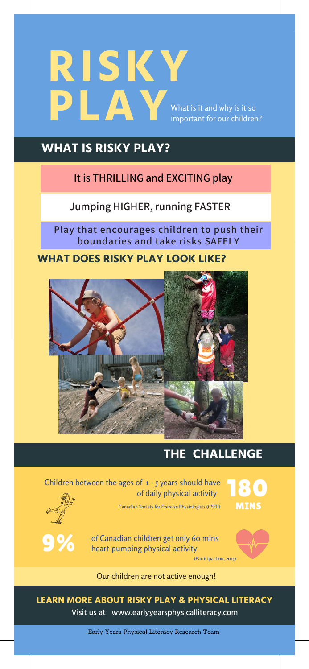# **RISKY PLAY** What is it and why is it so important for our children?

### **WHAT IS RISKY PLAY?**

#### **It is THRILLING and EXCITING play**

**Jumping HIGHER, running FASTER**

**Play that encourages children to push their boundaries and take risks SAFELY**

**WHAT DOES RISKY PLAY LOOK LIKE?**



# **THE CHALLENGE**

Children between the ages of 1 - 5 years should have of daily physical activity

Canadian Society for Exercise Physiologists (CSEP)





of Canadian children get only 60 mins heart-pumping physical activity

(Participaction, 2015)



Our children are not active enough!

**LEARN MORE ABOUT RISKY PLAY & PHYSICAL LITERACY** Visit us at www.earlyyearsphysicalliteracy.com

Early Years Physical Literacy Research Team